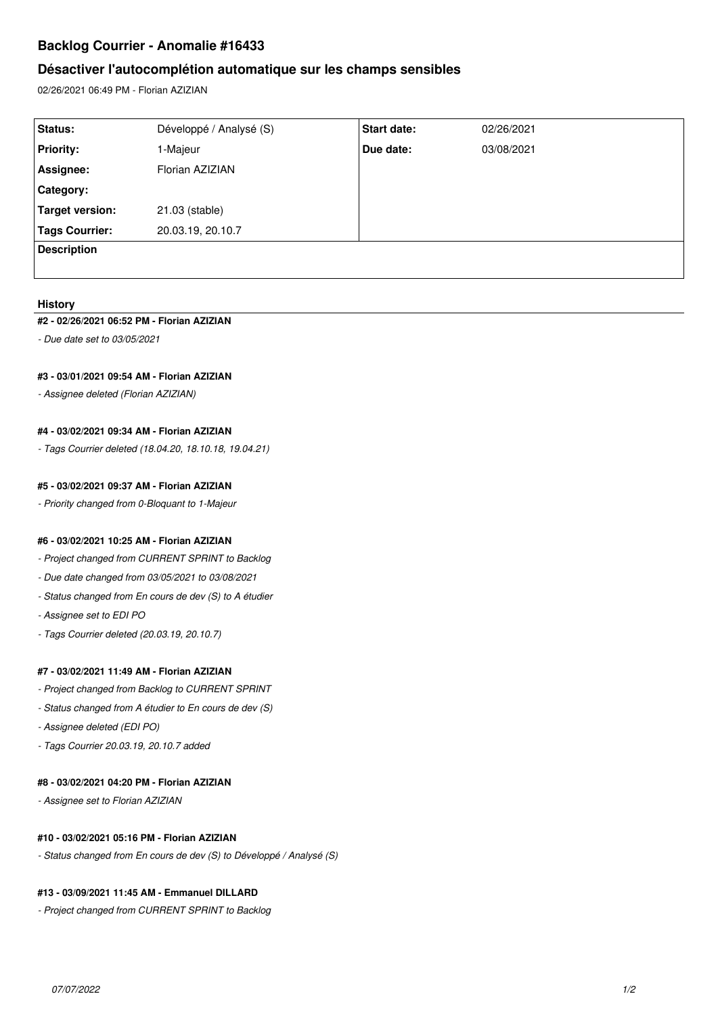# **Backlog Courrier - Anomalie #16433**

# **Désactiver l'autocomplétion automatique sur les champs sensibles**

02/26/2021 06:49 PM - Florian AZIZIAN

| Status:            | Développé / Analysé (S) | Start date: | 02/26/2021 |
|--------------------|-------------------------|-------------|------------|
| <b>Priority:</b>   | 1-Majeur                | Due date:   | 03/08/2021 |
| Assignee:          | Florian AZIZIAN         |             |            |
| Category:          |                         |             |            |
| Target version:    | 21.03 (stable)          |             |            |
| Tags Courrier:     | 20.03.19, 20.10.7       |             |            |
| <b>Description</b> |                         |             |            |
|                    |                         |             |            |

#### **History**

#### **#2 - 02/26/2021 06:52 PM - Florian AZIZIAN**

*- Due date set to 03/05/2021*

#### **#3 - 03/01/2021 09:54 AM - Florian AZIZIAN**

*- Assignee deleted (Florian AZIZIAN)*

## **#4 - 03/02/2021 09:34 AM - Florian AZIZIAN**

*- Tags Courrier deleted (18.04.20, 18.10.18, 19.04.21)*

## **#5 - 03/02/2021 09:37 AM - Florian AZIZIAN**

*- Priority changed from 0-Bloquant to 1-Majeur*

#### **#6 - 03/02/2021 10:25 AM - Florian AZIZIAN**

- *Project changed from CURRENT SPRINT to Backlog*
- *Due date changed from 03/05/2021 to 03/08/2021*
- *Status changed from En cours de dev (S) to A étudier*
- *Assignee set to EDI PO*
- *Tags Courrier deleted (20.03.19, 20.10.7)*

## **#7 - 03/02/2021 11:49 AM - Florian AZIZIAN**

- *Project changed from Backlog to CURRENT SPRINT*
- *Status changed from A étudier to En cours de dev (S)*
- *Assignee deleted (EDI PO)*
- *Tags Courrier 20.03.19, 20.10.7 added*

#### **#8 - 03/02/2021 04:20 PM - Florian AZIZIAN**

*- Assignee set to Florian AZIZIAN*

### **#10 - 03/02/2021 05:16 PM - Florian AZIZIAN**

*- Status changed from En cours de dev (S) to Développé / Analysé (S)*

## **#13 - 03/09/2021 11:45 AM - Emmanuel DILLARD**

*- Project changed from CURRENT SPRINT to Backlog*